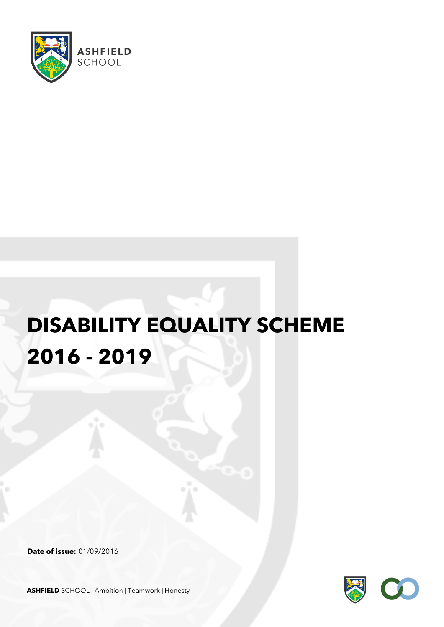

# **DISABILITY EQUALITY SCHEME 2016 - 2019**

**Date of issue:** 01/09/2016



**ASHFIELD** SCHOOL Ambition | Teamwork | Honesty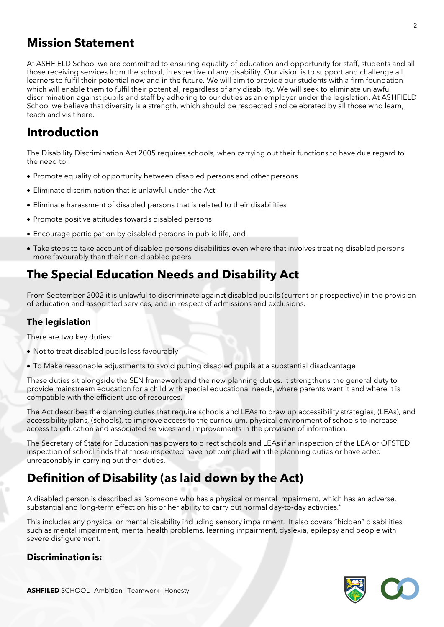### **Mission Statement**

At ASHFIELD School we are committed to ensuring equality of education and opportunity for staff, students and all those receiving services from the school, irrespective of any disability. Our vision is to support and challenge all learners to fulfil their potential now and in the future. We will aim to provide our students with a firm foundation which will enable them to fulfil their potential, regardless of any disability. We will seek to eliminate unlawful discrimination against pupils and staff by adhering to our duties as an employer under the legislation. At ASHFIELD School we believe that diversity is a strength, which should be respected and celebrated by all those who learn, teach and visit here.

## **Introduction**

The Disability Discrimination Act 2005 requires schools, when carrying out their functions to have due regard to the need to:

- Promote equality of opportunity between disabled persons and other persons
- Eliminate discrimination that is unlawful under the Act
- Eliminate harassment of disabled persons that is related to their disabilities
- Promote positive attitudes towards disabled persons
- Encourage participation by disabled persons in public life, and
- Take steps to take account of disabled persons disabilities even where that involves treating disabled persons more favourably than their non-disabled peers

# **The Special Education Needs and Disability Act**

From September 2002 it is unlawful to discriminate against disabled pupils (current or prospective) in the provision of education and associated services, and in respect of admissions and exclusions.

#### **The legislation**

There are two key duties:

- Not to treat disabled pupils less favourably
- To Make reasonable adjustments to avoid putting disabled pupils at a substantial disadvantage

These duties sit alongside the SEN framework and the new planning duties. It strengthens the general duty to provide mainstream education for a child with special educational needs, where parents want it and where it is compatible with the efficient use of resources.

The Act describes the planning duties that require schools and LEAs to draw up accessibility strategies, (LEAs), and accessibility plans, (schools), to improve access to the curriculum, physical environment of schools to increase access to education and associated services and improvements in the provision of information.

The Secretary of State for Education has powers to direct schools and LEAs if an inspection of the LEA or OFSTED inspection of school finds that those inspected have not complied with the planning duties or have acted unreasonably in carrying out their duties.

# **Definition of Disability (as laid down by the Act)**

A disabled person is described as "someone who has a physical or mental impairment, which has an adverse, substantial and long-term effect on his or her ability to carry out normal day-to-day activities."

This includes any physical or mental disability including sensory impairment. It also covers "hidden" disabilities such as mental impairment, mental health problems, learning impairment, dyslexia, epilepsy and people with severe disfigurement.

#### **Discrimination is:**

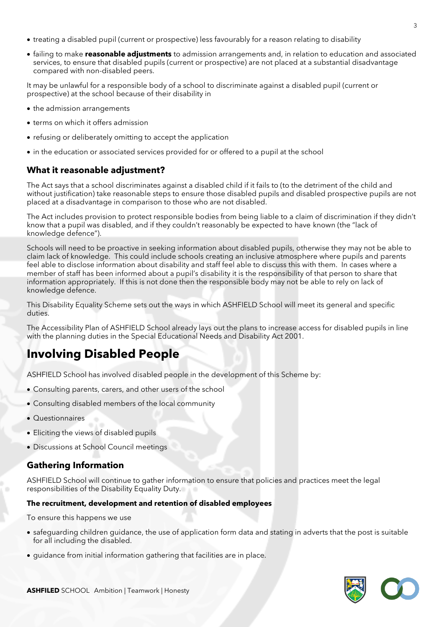- treating a disabled pupil (current or prospective) less favourably for a reason relating to disability
- failing to make **reasonable adjustments** to admission arrangements and, in relation to education and associated services, to ensure that disabled pupils (current or prospective) are not placed at a substantial disadvantage compared with non-disabled peers.

It may be unlawful for a responsible body of a school to discriminate against a disabled pupil (current or prospective) at the school because of their disability in

- the admission arrangements
- terms on which it offers admission
- refusing or deliberately omitting to accept the application
- in the education or associated services provided for or offered to a pupil at the school

#### **What it reasonable adjustment?**

The Act says that a school discriminates against a disabled child if it fails to (to the detriment of the child and without justification) take reasonable steps to ensure those disabled pupils and disabled prospective pupils are not placed at a disadvantage in comparison to those who are not disabled.

The Act includes provision to protect responsible bodies from being liable to a claim of discrimination if they didn't know that a pupil was disabled, and if they couldn't reasonably be expected to have known (the "lack of knowledge defence").

Schools will need to be proactive in seeking information about disabled pupils, otherwise they may not be able to claim lack of knowledge. This could include schools creating an inclusive atmosphere where pupils and parents feel able to disclose information about disability and staff feel able to discuss this with them. In cases where a member of staff has been informed about a pupil's disability it is the responsibility of that person to share that information appropriately. If this is not done then the responsible body may not be able to rely on lack of knowledge defence.

This Disability Equality Scheme sets out the ways in which ASHFIELD School will meet its general and specific duties.

The Accessibility Plan of ASHFIELD School already lays out the plans to increase access for disabled pupils in line with the planning duties in the Special Educational Needs and Disability Act 2001.

# **Involving Disabled People**

ASHFIELD School has involved disabled people in the development of this Scheme by:

- Consulting parents, carers, and other users of the school
- Consulting disabled members of the local community
- Questionnaires
- Eliciting the views of disabled pupils
- Discussions at School Council meetings

#### **Gathering Information**

ASHFIELD School will continue to gather information to ensure that policies and practices meet the legal responsibilities of the Disability Equality Duty.

#### **The recruitment, development and retention of disabled employees**

To ensure this happens we use

- safeguarding children guidance, the use of application form data and stating in adverts that the post is suitable for all including the disabled.
- guidance from initial information gathering that facilities are in place.

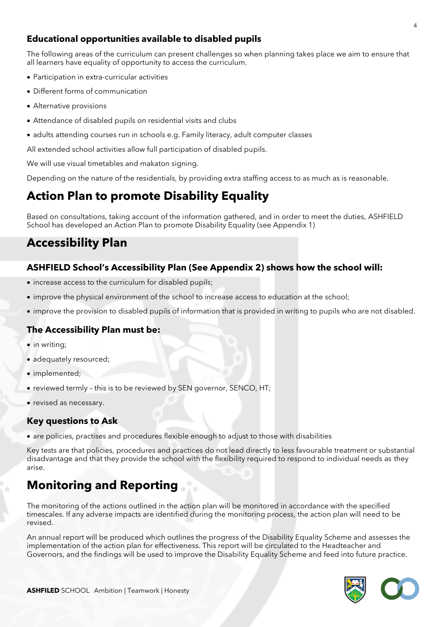#### **Educational opportunities available to disabled pupils**

The following areas of the curriculum can present challenges so when planning takes place we aim to ensure that all learners have equality of opportunity to access the curriculum.

- Participation in extra-curricular activities
- Different forms of communication
- Alternative provisions
- Attendance of disabled pupils on residential visits and clubs
- adults attending courses run in schools e.g. Family literacy, adult computer classes

All extended school activities allow full participation of disabled pupils.

We will use visual timetables and makaton signing.

Depending on the nature of the residentials, by providing extra staffing access to as much as is reasonable.

## **Action Plan to promote Disability Equality**

Based on consultations, taking account of the information gathered, and in order to meet the duties, ASHFIELD School has developed an Action Plan to promote Disability Equality (see Appendix 1)

# **Accessibility Plan**

#### **ASHFIELD School's Accessibility Plan (See Appendix 2) shows how the school will:**

- increase access to the curriculum for disabled pupils;
- improve the physical environment of the school to increase access to education at the school;
- improve the provision to disabled pupils of information that is provided in writing to pupils who are not disabled.

#### **The Accessibility Plan must be:**

- in writing;
- adequately resourced;
- implemented;
- reviewed termly this is to be reviewed by SEN governor, SENCO, HT;
- revised as necessary.

#### **Key questions to Ask**

• are policies, practises and procedures flexible enough to adjust to those with disabilities

Key tests are that policies, procedures and practices do not lead directly to less favourable treatment or substantial disadvantage and that they provide the school with the flexibility required to respond to individual needs as they arise.

# **Monitoring and Reporting**

The monitoring of the actions outlined in the action plan will be monitored in accordance with the specified timescales. If any adverse impacts are identified during the monitoring process, the action plan will need to be revised.

An annual report will be produced which outlines the progress of the Disability Equality Scheme and assesses the implementation of the action plan for effectiveness. This report will be circulated to the Headteacher and Governors, and the findings will be used to improve the Disability Equality Scheme and feed into future practice.